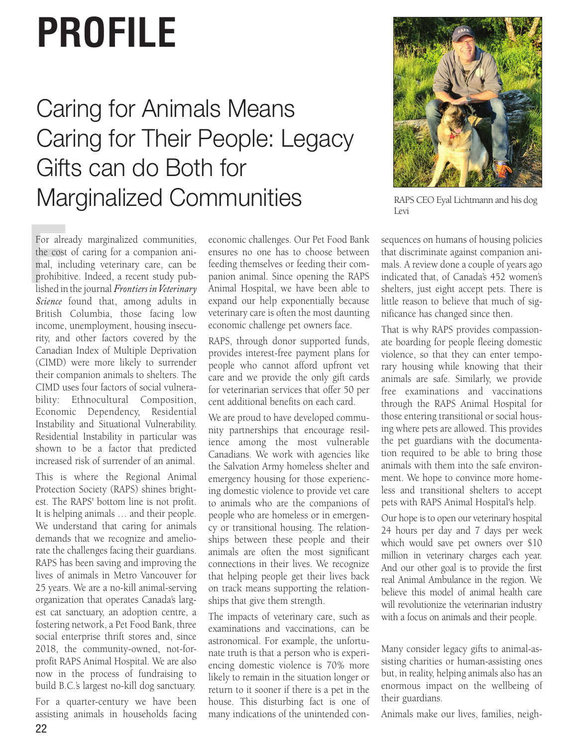## **PROFILE**

## Caring for Animals Means Caring for Their People: Legacy Gifts can do Both for Marginalized Communities



RAPS CEO Eyal Lichtmann and his dog Levi

For alrea<br>the cost<br>mal, independent<br>prohibit<br>lished in For already marginalized communities, the cost of caring for a companion animal, including veterinary care, can be prohibitive. Indeed, a recent study published in the journal *Frontiers in Veterinary Science* found that, among adults in British Columbia, those facing low income, unemployment, housing insecurity, and other factors covered by the Canadian Index of Multiple Deprivation (CIMD) were more likely to surrender their companion animals to shelters. The CIMD uses four factors of social vulnerability: Ethnocultural Composition, Economic Dependency, Residential Instability and Situational Vulnerability. Residential Instability in particular was shown to be a factor that predicted increased risk of surrender of an animal.

This is where the Regional Animal Protection Society (RAPS) shines brightest. The RAPS' bottom line is not profit. It is helping animals … and their people. We understand that caring for animals demands that we recognize and ameliorate the challenges facing their guardians. RAPS has been saving and improving the lives of animals in Metro Vancouver for 25 years. We are a no-kill animal-serving organization that operates Canada's largest cat sanctuary, an adoption centre, a fostering network, a Pet Food Bank, three social enterprise thrift stores and, since 2018, the community-owned, not-forprofit RAPS Animal Hospital. We are also now in the process of fundraising to build B.C.'s largest no-kill dog sanctuary.

For a quarter-century we have been assisting animals in households facing economic challenges. Our Pet Food Bank ensures no one has to choose between feeding themselves or feeding their companion animal. Since opening the RAPS Animal Hospital, we have been able to expand our help exponentially because veterinary care is often the most daunting economic challenge pet owners face.

RAPS, through donor supported funds, provides interest-free payment plans for people who cannot afford upfront vet care and we provide the only gift cards for veterinarian services that offer 50 per cent additional benefits on each card.

We are proud to have developed community partnerships that encourage resilience among the most vulnerable Canadians. We work with agencies like the Salvation Army homeless shelter and emergency housing for those experiencing domestic violence to provide vet care to animals who are the companions of people who are homeless or in emergency or transitional housing. The relationships between these people and their animals are often the most significant connections in their lives. We recognize that helping people get their lives back on track means supporting the relationships that give them strength.

The impacts of veterinary care, such as examinations and vaccinations, can be astronomical. For example, the unfortunate truth is that a person who is experiencing domestic violence is 70% more likely to remain in the situation longer or return to it sooner if there is a pet in the house. This disturbing fact is one of many indications of the unintended consequences on humans of housing policies that discriminate against companion animals. A review done a couple of years ago indicated that, of Canada's 452 women's shelters, just eight accept pets. There is little reason to believe that much of significance has changed since then.

That is why RAPS provides compassionate boarding for people fleeing domestic violence, so that they can enter temporary housing while knowing that their animals are safe. Similarly, we provide free examinations and vaccinations through the RAPS Animal Hospital for those entering transitional or social housing where pets are allowed. This provides the pet guardians with the documentation required to be able to bring those animals with them into the safe environment. We hope to convince more homeless and transitional shelters to accept pets with RAPS Animal Hospital's help.

Our hope is to open our veterinary hospital 24 hours per day and 7 days per week which would save pet owners over \$10 million in veterinary charges each year. And our other goal is to provide the first real Animal Ambulance in the region. We believe this model of animal health care will revolutionize the veterinarian industry with a focus on animals and their people.

Many consider legacy gifts to animal-assisting charities or human-assisting ones but, in reality, helping animals also has an enormous impact on the wellbeing of their guardians.

Animals make our lives, families, neigh-